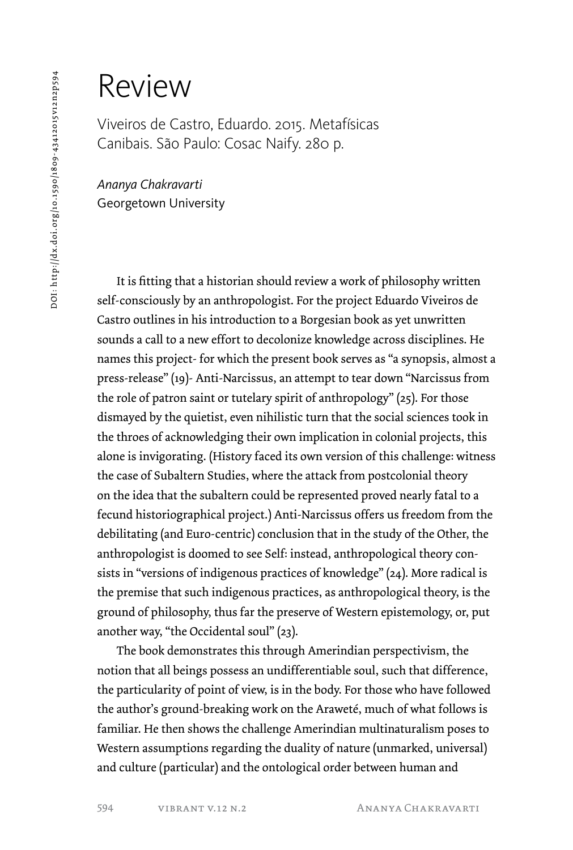## 001: http://dx.doi.org/10.1590/1809-43412015v12n2p594 DOI: http://dx.doi.org/10.1590/1809-43412015v12n2p594

## Review

Viveiros de Castro, Eduardo. 2015. Metafísicas Canibais. São Paulo: Cosac Naify. 280 p.

*Ananya Chakravarti* Georgetown University

It is fitting that a historian should review a work of philosophy written self-consciously by an anthropologist. For the project Eduardo Viveiros de Castro outlines in his introduction to a Borgesian book as yet unwritten sounds a call to a new effort to decolonize knowledge across disciplines. He names this project- for which the present book serves as "a synopsis, almost a press-release" (19)- Anti-Narcissus, an attempt to tear down "Narcissus from the role of patron saint or tutelary spirit of anthropology" (25). For those dismayed by the quietist, even nihilistic turn that the social sciences took in the throes of acknowledging their own implication in colonial projects, this alone is invigorating. (History faced its own version of this challenge: witness the case of Subaltern Studies, where the attack from postcolonial theory on the idea that the subaltern could be represented proved nearly fatal to a fecund historiographical project.) Anti-Narcissus offers us freedom from the debilitating (and Euro-centric) conclusion that in the study of the Other, the anthropologist is doomed to see Self: instead, anthropological theory consists in "versions of indigenous practices of knowledge" (24). More radical is the premise that such indigenous practices, as anthropological theory, is the ground of philosophy, thus far the preserve of Western epistemology, or, put another way, "the Occidental soul" (23).

The book demonstrates this through Amerindian perspectivism, the notion that all beings possess an undifferentiable soul, such that difference, the particularity of point of view, is in the body. For those who have followed the author's ground-breaking work on the Araweté, much of what follows is familiar. He then shows the challenge Amerindian multinaturalism poses to Western assumptions regarding the duality of nature (unmarked, universal) and culture (particular) and the ontological order between human and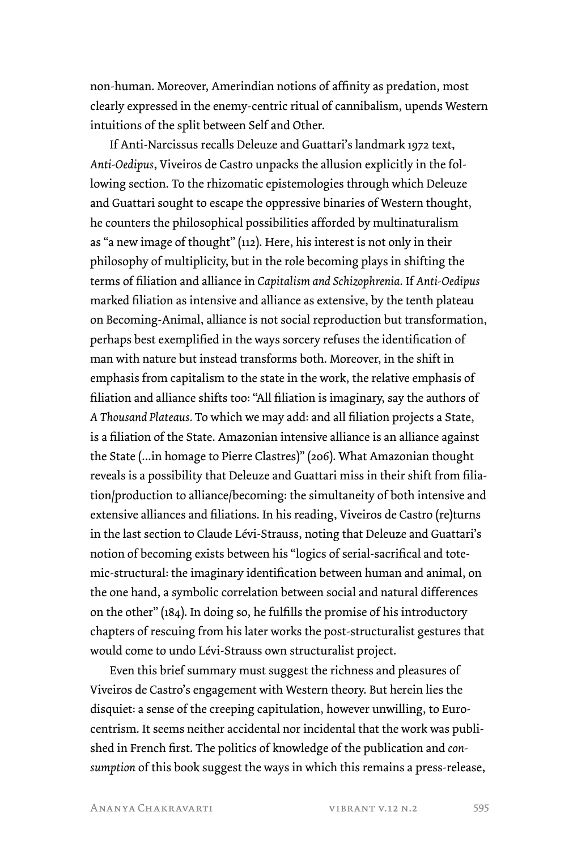non-human. Moreover, Amerindian notions of affinity as predation, most clearly expressed in the enemy-centric ritual of cannibalism, upends Western intuitions of the split between Self and Other.

If Anti-Narcissus recalls Deleuze and Guattari's landmark 1972 text, *Anti-Oedipus*, Viveiros de Castro unpacks the allusion explicitly in the following section. To the rhizomatic epistemologies through which Deleuze and Guattari sought to escape the oppressive binaries of Western thought, he counters the philosophical possibilities afforded by multinaturalism as "a new image of thought" (112). Here, his interest is not only in their philosophy of multiplicity, but in the role becoming plays in shifting the terms of filiation and alliance in *Capitalism and Schizophrenia*. If *Anti-Oedipus*  marked filiation as intensive and alliance as extensive, by the tenth plateau on Becoming-Animal, alliance is not social reproduction but transformation, perhaps best exemplified in the ways sorcery refuses the identification of man with nature but instead transforms both. Moreover, in the shift in emphasis from capitalism to the state in the work, the relative emphasis of filiation and alliance shifts too: "All filiation is imaginary, say the authors of *A Thousand Plateaus.* To which we may add: and all filiation projects a State, is a filiation of the State. Amazonian intensive alliance is an alliance against the State (...in homage to Pierre Clastres)" (206). What Amazonian thought reveals is a possibility that Deleuze and Guattari miss in their shift from filiation/production to alliance/becoming: the simultaneity of both intensive and extensive alliances and filiations. In his reading, Viveiros de Castro (re)turns in the last section to Claude Lévi-Strauss, noting that Deleuze and Guattari's notion of becoming exists between his "logics of serial-sacrifical and totemic-structural: the imaginary identification between human and animal, on the one hand, a symbolic correlation between social and natural differences on the other" (184). In doing so, he fulfills the promise of his introductory chapters of rescuing from his later works the post-structuralist gestures that would come to undo Lévi-Strauss own structuralist project.

Even this brief summary must suggest the richness and pleasures of Viveiros de Castro's engagement with Western theory. But herein lies the disquiet: a sense of the creeping capitulation, however unwilling, to Eurocentrism. It seems neither accidental nor incidental that the work was published in French first. The politics of knowledge of the publication and *consumption* of this book suggest the ways in which this remains a press-release,